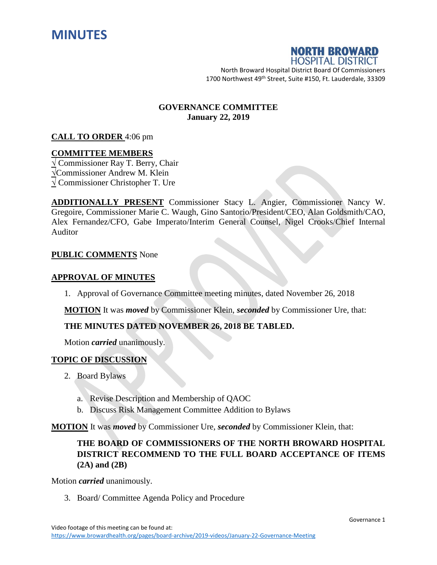



North Broward Hospital District Board Of Commissioners 1700 Northwest 49<sup>th</sup> Street, Suite #150, Ft. Lauderdale, 33309

# **GOVERNANCE COMMITTEE January 22, 2019**

#### **CALL TO ORDER** 4:06 pm

#### **COMMITTEE MEMBERS**

**√** Commissioner Ray T. Berry, Chair **√**Commissioner Andrew M. Klein **√** Commissioner Christopher T. Ure

**ADDITIONALLY PRESENT** Commissioner Stacy L. Angier, Commissioner Nancy W. Gregoire, Commissioner Marie C. Waugh, Gino Santorio/President/CEO, Alan Goldsmith/CAO, Alex Fernandez/CFO, Gabe Imperato/Interim General Counsel, Nigel Crooks/Chief Internal Auditor

#### **PUBLIC COMMENTS** None

#### **APPROVAL OF MINUTES**

1. Approval of Governance Committee meeting minutes, dated November 26, 2018

**MOTION** It was *moved* by Commissioner Klein, *seconded* by Commissioner Ure, that:

# **THE MINUTES DATED NOVEMBER 26, 2018 BE TABLED.**

Motion *carried* unanimously.

# **TOPIC OF DISCUSSION**

- 2. Board Bylaws
	- a. Revise Description and Membership of QAOC
	- b. Discuss Risk Management Committee Addition to Bylaws

**MOTION** It was *moved* by Commissioner Ure, *seconded* by Commissioner Klein, that:

# **THE BOARD OF COMMISSIONERS OF THE NORTH BROWARD HOSPITAL DISTRICT RECOMMEND TO THE FULL BOARD ACCEPTANCE OF ITEMS (2A) and (2B)**

Motion *carried* unanimously.

3. Board/ Committee Agenda Policy and Procedure